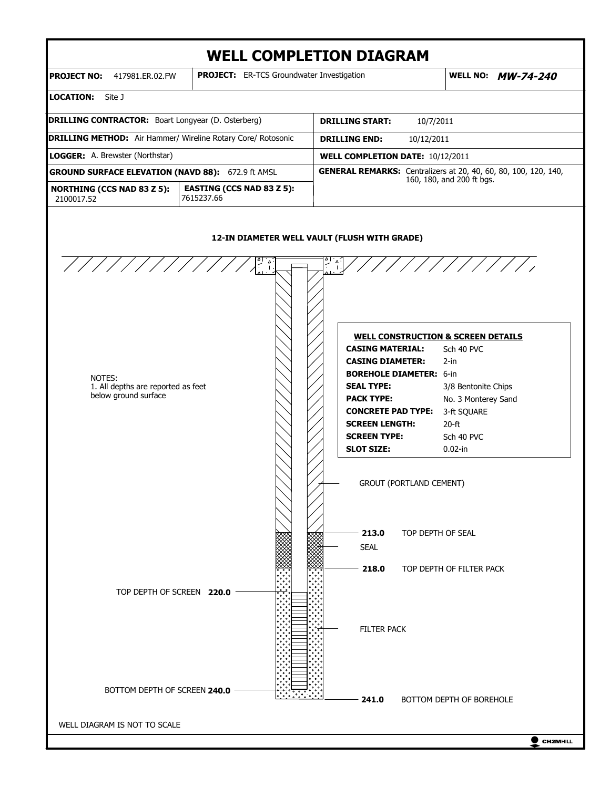

 $\bullet$  CH2MHILL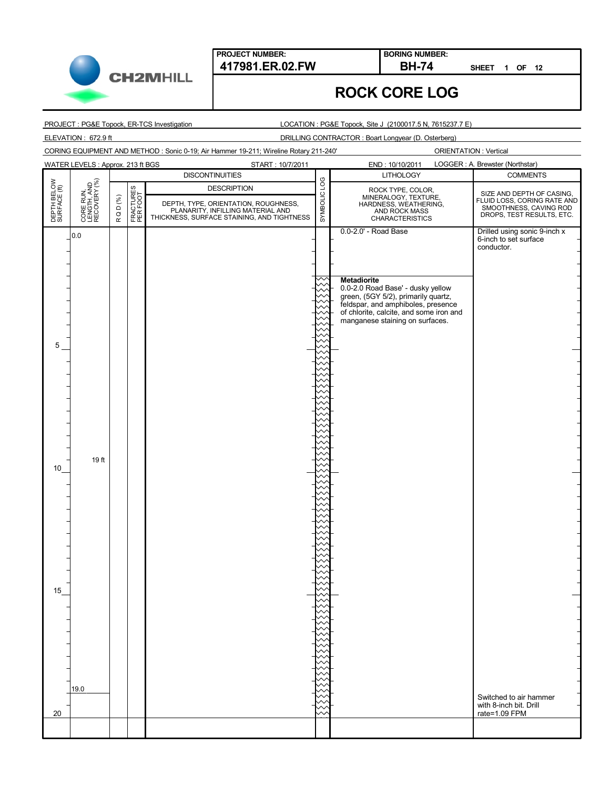**CH2MHILL** 

**SHEET 1 OF 12**

# **ROCK CORE LOG**

**BORING NUMBER:**

PROJECT : PG&E Topock, ER-TCS Investigation

LOCATION : PG&E Topock, Site J (2100017.5 N, 7615237.7 E)

ELEVATION : 672.9 ft DRILLING CONTRACTOR : Boart Longyear (D. Osterberg)

CORING EQUIPMENT AND METHOD : Sonic 0-19; Air Hammer 19-211; Wireline Rotary 211-240'

|                             | <b>WATER LEVELS: Approx. 213 ft BGS</b><br>START: 10/7/2011 |        |                       |                                                                           | LOGGER : A. Brewster (Northstar)<br>END: 10/10/2011 |                                                                                                        |                                                                                    |  |  |
|-----------------------------|-------------------------------------------------------------|--------|-----------------------|---------------------------------------------------------------------------|-----------------------------------------------------|--------------------------------------------------------------------------------------------------------|------------------------------------------------------------------------------------|--|--|
|                             |                                                             |        |                       | <b>DISCONTINUITIES</b>                                                    |                                                     | <b>LITHOLOGY</b>                                                                                       | <b>COMMENTS</b>                                                                    |  |  |
|                             |                                                             |        |                       | <b>DESCRIPTION</b>                                                        |                                                     |                                                                                                        | SIZE AND DEPTH OF CASING,                                                          |  |  |
|                             |                                                             |        |                       | DEPTH, TYPE, ORIENTATION, ROUGHNESS,<br>PLANARITY, INFILLING MATERIAL AND |                                                     |                                                                                                        | FLUID LOSS, CORING RATE AND<br>SMOOTHNESS, CAVING ROD<br>DROPS, TEST RESULTS, ETC. |  |  |
| DEPTH BELOW<br>SURFACE (ft) | CORE RUN,<br>LENGTH, AND<br>RECOVERY (%)                    | RQD(%) | FRACTURES<br>PER FOOT | THICKNESS, SURFACE STAINING, AND TIGHTNESS                                | SYMBOLIC LOG                                        | ROCK TYPE, COLOR,<br>MINERALOGY, TEXTURE,<br>HARDNESS, WEATHERING,<br>AND ROCK MASS<br>CHARACTERISTICS |                                                                                    |  |  |
|                             |                                                             |        |                       |                                                                           |                                                     | 0.0-2.0' - Road Base                                                                                   | Drilled using sonic 9-inch x                                                       |  |  |
|                             | 0.0                                                         |        |                       |                                                                           |                                                     |                                                                                                        | 6-inch to set surface                                                              |  |  |
|                             |                                                             |        |                       |                                                                           |                                                     |                                                                                                        | conductor.                                                                         |  |  |
|                             |                                                             |        |                       |                                                                           |                                                     |                                                                                                        |                                                                                    |  |  |
|                             |                                                             |        |                       |                                                                           |                                                     | <b>Metadiorite</b>                                                                                     |                                                                                    |  |  |
|                             |                                                             |        |                       |                                                                           |                                                     | 0.0-2.0 Road Base' - dusky yellow<br>green, (5GY 5/2), primarily quartz,                               |                                                                                    |  |  |
|                             |                                                             |        |                       |                                                                           |                                                     | feldspar, and amphiboles, presence                                                                     |                                                                                    |  |  |
|                             |                                                             |        |                       |                                                                           |                                                     | of chlorite, calcite, and some iron and<br>manganese staining on surfaces.                             |                                                                                    |  |  |
|                             |                                                             |        |                       |                                                                           |                                                     |                                                                                                        |                                                                                    |  |  |
| 5                           |                                                             |        |                       |                                                                           |                                                     |                                                                                                        |                                                                                    |  |  |
|                             |                                                             |        |                       |                                                                           |                                                     |                                                                                                        |                                                                                    |  |  |
|                             |                                                             |        |                       |                                                                           |                                                     |                                                                                                        |                                                                                    |  |  |
|                             |                                                             |        |                       |                                                                           |                                                     |                                                                                                        |                                                                                    |  |  |
|                             |                                                             |        |                       |                                                                           |                                                     |                                                                                                        |                                                                                    |  |  |
|                             |                                                             |        |                       |                                                                           |                                                     |                                                                                                        |                                                                                    |  |  |
|                             |                                                             |        |                       |                                                                           |                                                     |                                                                                                        |                                                                                    |  |  |
|                             |                                                             |        |                       |                                                                           |                                                     |                                                                                                        |                                                                                    |  |  |
|                             |                                                             |        |                       |                                                                           |                                                     |                                                                                                        |                                                                                    |  |  |
|                             | 19 ft                                                       |        |                       |                                                                           |                                                     |                                                                                                        |                                                                                    |  |  |
| 10                          |                                                             |        |                       |                                                                           |                                                     |                                                                                                        |                                                                                    |  |  |
|                             |                                                             |        |                       |                                                                           |                                                     |                                                                                                        |                                                                                    |  |  |
|                             |                                                             |        |                       |                                                                           |                                                     |                                                                                                        |                                                                                    |  |  |
|                             |                                                             |        |                       |                                                                           |                                                     |                                                                                                        |                                                                                    |  |  |
|                             |                                                             |        |                       |                                                                           |                                                     |                                                                                                        |                                                                                    |  |  |
|                             |                                                             |        |                       |                                                                           |                                                     |                                                                                                        |                                                                                    |  |  |
|                             |                                                             |        |                       |                                                                           |                                                     |                                                                                                        |                                                                                    |  |  |
|                             |                                                             |        |                       |                                                                           |                                                     |                                                                                                        |                                                                                    |  |  |
|                             |                                                             |        |                       |                                                                           |                                                     |                                                                                                        |                                                                                    |  |  |
| 15                          |                                                             |        |                       |                                                                           |                                                     |                                                                                                        |                                                                                    |  |  |
|                             |                                                             |        |                       |                                                                           |                                                     |                                                                                                        |                                                                                    |  |  |
|                             |                                                             |        |                       |                                                                           |                                                     |                                                                                                        |                                                                                    |  |  |
|                             |                                                             |        |                       |                                                                           |                                                     |                                                                                                        |                                                                                    |  |  |
|                             |                                                             |        |                       |                                                                           |                                                     |                                                                                                        |                                                                                    |  |  |
|                             |                                                             |        |                       |                                                                           |                                                     |                                                                                                        |                                                                                    |  |  |
|                             |                                                             |        |                       |                                                                           |                                                     |                                                                                                        |                                                                                    |  |  |
|                             |                                                             |        |                       |                                                                           |                                                     |                                                                                                        |                                                                                    |  |  |
|                             | 19.0                                                        |        |                       |                                                                           |                                                     |                                                                                                        |                                                                                    |  |  |
|                             |                                                             |        |                       |                                                                           |                                                     |                                                                                                        | Switched to air hammer<br>with 8-inch bit. Drill                                   |  |  |
| 20                          |                                                             |        |                       |                                                                           |                                                     |                                                                                                        | rate=1.09 FPM                                                                      |  |  |
|                             |                                                             |        |                       |                                                                           |                                                     |                                                                                                        |                                                                                    |  |  |
|                             |                                                             |        |                       |                                                                           |                                                     |                                                                                                        |                                                                                    |  |  |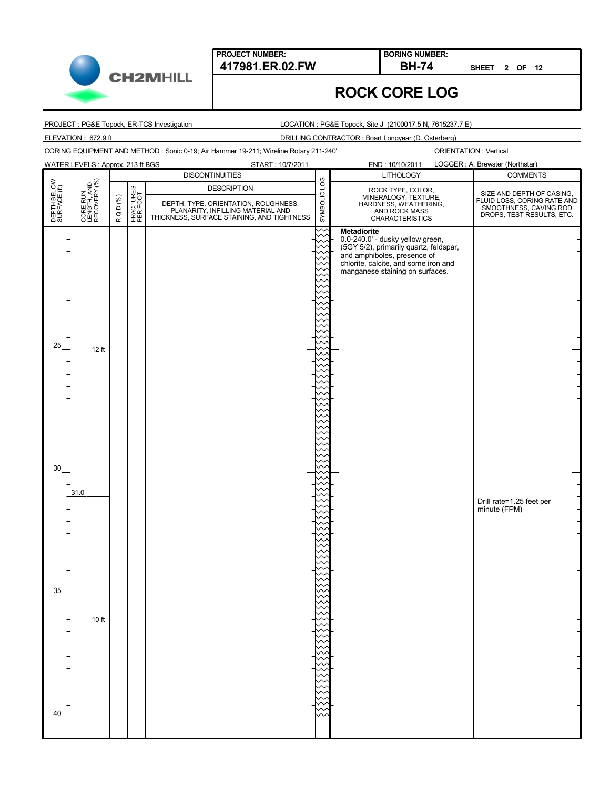**CH2MHILL** 

#### **417981.ER.02.FW BH-74 BORING NUMBER:**

**SHEET 2 OF 12**

#### **ROCK CORE LOG**

PROJECT : PG&E Topock, ER-TCS Investigation

LOCATION : PG&E Topock, Site J (2100017.5 N, 7615237.7 E)

ELEVATION : 672.9 ft DRILLING CONTRACTOR : Boart Longyear (D. Osterberg)

CORING EQUIPMENT AND METHOD : Sonic 0-19; Air Hammer 19-211; Wireline Rotary 211-240'

|                             | <b>WATER LEVELS: Approx. 213 ft BGS</b><br>START: 10/7/2011 |        |                       |                                                                                                                         |              | LOGGER : A. Brewster (Northstar)<br>END: 10/10/2011                                 |                                                                                                                 |  |
|-----------------------------|-------------------------------------------------------------|--------|-----------------------|-------------------------------------------------------------------------------------------------------------------------|--------------|-------------------------------------------------------------------------------------|-----------------------------------------------------------------------------------------------------------------|--|
|                             |                                                             |        |                       | <b>DISCONTINUITIES</b>                                                                                                  |              | <b>LITHOLOGY</b>                                                                    | <b>COMMENTS</b>                                                                                                 |  |
| DEPTH BELOW<br>SURFACE (ft) | CORE RUN,<br>LENGTH, AND<br>RECOVERY (%)                    |        | FRACTURES<br>PER FOOT | <b>DESCRIPTION</b>                                                                                                      | SYMBOLIC LOG |                                                                                     |                                                                                                                 |  |
|                             |                                                             | RQD(%) |                       |                                                                                                                         |              | ROCK TYPE, COLOR,<br>MINERALOGY, TEXTURE,<br>HARDNESS, WEATHERING,<br>AND ROCK MASS | SIZE AND DEPTH OF CASING,<br>FLUID LOSS, CORING RATE AND<br>SMOOTHNESS, CAVING ROD<br>DROPS, TEST RESULTS, ETC. |  |
|                             |                                                             |        |                       | DEPTH, TYPE, ORIENTATION, ROUGHNESS,<br>PLANARITY, INFILLING MATERIAL AND<br>THICKNESS, SURFACE STAINING, AND TIGHTNESS |              | CHARACTERISTICS                                                                     |                                                                                                                 |  |
|                             |                                                             |        |                       |                                                                                                                         | ᄉ            | <b>Metadiorite</b>                                                                  |                                                                                                                 |  |
|                             |                                                             |        |                       |                                                                                                                         |              | 0.0-240.0' - dusky yellow green,                                                    |                                                                                                                 |  |
|                             |                                                             |        |                       |                                                                                                                         |              | (5GY 5/2), primarily quartz, feldspar,<br>and amphiboles, presence of               |                                                                                                                 |  |
|                             |                                                             |        |                       |                                                                                                                         |              | chlorite, calcite, and some iron and                                                |                                                                                                                 |  |
|                             |                                                             |        |                       |                                                                                                                         |              | manganese staining on surfaces.                                                     |                                                                                                                 |  |
|                             |                                                             |        |                       |                                                                                                                         |              |                                                                                     |                                                                                                                 |  |
|                             |                                                             |        |                       |                                                                                                                         |              |                                                                                     |                                                                                                                 |  |
|                             |                                                             |        |                       |                                                                                                                         |              |                                                                                     |                                                                                                                 |  |
|                             |                                                             |        |                       |                                                                                                                         |              |                                                                                     |                                                                                                                 |  |
|                             |                                                             |        |                       |                                                                                                                         |              |                                                                                     |                                                                                                                 |  |
| 25                          | 12 ft                                                       |        |                       |                                                                                                                         |              |                                                                                     |                                                                                                                 |  |
|                             |                                                             |        |                       |                                                                                                                         |              |                                                                                     |                                                                                                                 |  |
|                             |                                                             |        |                       |                                                                                                                         |              |                                                                                     |                                                                                                                 |  |
|                             |                                                             |        |                       |                                                                                                                         |              |                                                                                     |                                                                                                                 |  |
|                             |                                                             |        |                       |                                                                                                                         |              |                                                                                     |                                                                                                                 |  |
|                             |                                                             |        |                       |                                                                                                                         |              |                                                                                     |                                                                                                                 |  |
|                             |                                                             |        |                       |                                                                                                                         |              |                                                                                     |                                                                                                                 |  |
|                             |                                                             |        |                       |                                                                                                                         |              |                                                                                     |                                                                                                                 |  |
|                             |                                                             |        |                       |                                                                                                                         |              |                                                                                     |                                                                                                                 |  |
|                             |                                                             |        |                       |                                                                                                                         |              |                                                                                     |                                                                                                                 |  |
| 30                          |                                                             |        |                       |                                                                                                                         |              |                                                                                     |                                                                                                                 |  |
|                             |                                                             |        |                       |                                                                                                                         |              |                                                                                     |                                                                                                                 |  |
|                             | 31.0                                                        |        |                       |                                                                                                                         |              |                                                                                     | Drill rate=1.25 feet per                                                                                        |  |
|                             |                                                             |        |                       |                                                                                                                         |              |                                                                                     | minute (FPM)                                                                                                    |  |
|                             |                                                             |        |                       |                                                                                                                         |              |                                                                                     |                                                                                                                 |  |
|                             |                                                             |        |                       |                                                                                                                         |              |                                                                                     |                                                                                                                 |  |
|                             |                                                             |        |                       |                                                                                                                         |              |                                                                                     |                                                                                                                 |  |
|                             |                                                             |        |                       |                                                                                                                         |              |                                                                                     |                                                                                                                 |  |
|                             |                                                             |        |                       |                                                                                                                         |              |                                                                                     |                                                                                                                 |  |
|                             |                                                             |        |                       |                                                                                                                         |              |                                                                                     |                                                                                                                 |  |
| 35                          |                                                             |        |                       |                                                                                                                         |              |                                                                                     |                                                                                                                 |  |
|                             |                                                             |        |                       |                                                                                                                         |              |                                                                                     |                                                                                                                 |  |
|                             | 10 ft                                                       |        |                       |                                                                                                                         |              |                                                                                     |                                                                                                                 |  |
|                             |                                                             |        |                       |                                                                                                                         |              |                                                                                     |                                                                                                                 |  |
|                             |                                                             |        |                       |                                                                                                                         |              |                                                                                     |                                                                                                                 |  |
|                             |                                                             |        |                       |                                                                                                                         |              |                                                                                     |                                                                                                                 |  |
|                             |                                                             |        |                       |                                                                                                                         |              |                                                                                     |                                                                                                                 |  |
|                             |                                                             |        |                       |                                                                                                                         |              |                                                                                     |                                                                                                                 |  |
|                             |                                                             |        |                       |                                                                                                                         |              |                                                                                     |                                                                                                                 |  |
|                             |                                                             |        |                       |                                                                                                                         |              |                                                                                     |                                                                                                                 |  |
| 40                          |                                                             |        |                       |                                                                                                                         |              |                                                                                     |                                                                                                                 |  |
|                             |                                                             |        |                       |                                                                                                                         |              |                                                                                     |                                                                                                                 |  |

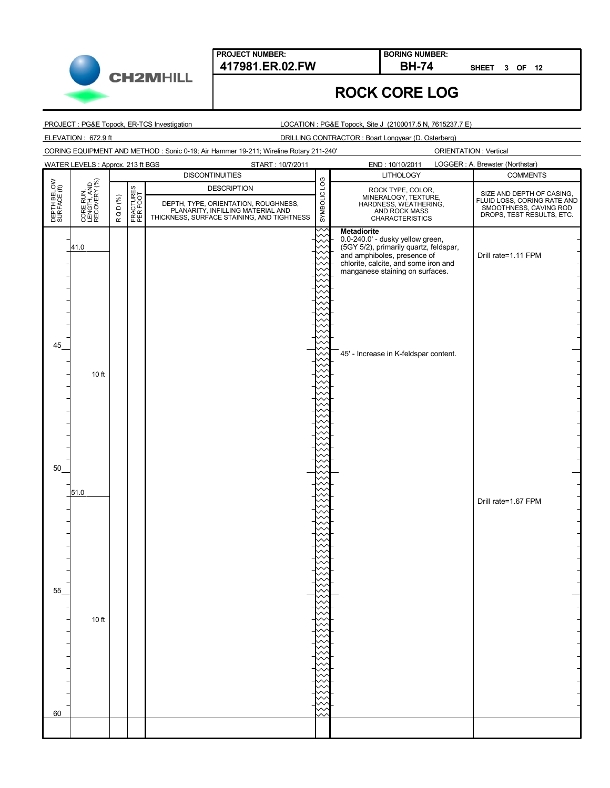**CH2MHILL** 

### **ROCK CORE LOG**

**BORING NUMBER:**

PROJECT : PG&E Topock, ER-TCS Investigation

LOCATION : PG&E Topock, Site J (2100017.5 N, 7615237.7 E)

ELEVATION : 672.9 ft DRILLING CONTRACTOR : Boart Longyear (D. Osterberg)

CORING EQUIPMENT AND METHOD : Sonic 0-19; Air Hammer 19-211; Wireline Rotary 211-240'

ORIENTATION : Vertical

**SHEET 3 OF 12**

|                             | <b>WATER LEVELS: Approx. 213 ft BGS</b><br>START: 10/7/2011 |        |                       |                                                                                                                         |              | END: 10/10/2011                                                       | LOGGER : A. Brewster (Northstar)                                                                                |  |
|-----------------------------|-------------------------------------------------------------|--------|-----------------------|-------------------------------------------------------------------------------------------------------------------------|--------------|-----------------------------------------------------------------------|-----------------------------------------------------------------------------------------------------------------|--|
|                             |                                                             |        |                       | <b>DISCONTINUITIES</b>                                                                                                  |              | <b>LITHOLOGY</b>                                                      | <b>COMMENTS</b>                                                                                                 |  |
| DEPTH BELOW<br>SURFACE (ft) | CORE RUN,<br>LENGTH, AND<br>RECOVERY (%)                    |        | FRACTURES<br>PER FOOT | <b>DESCRIPTION</b>                                                                                                      | SYMBOLIC LOG | ROCK TYPE, COLOR,                                                     |                                                                                                                 |  |
|                             |                                                             | RQD(%) |                       |                                                                                                                         |              | MINERALOGY, TEXTURE,<br>HARDNESS, WEATHERING,<br>AND ROCK MASS        | SIZE AND DEPTH OF CASING,<br>FLUID LOSS, CORING RATE AND<br>SMOOTHNESS, CAVING ROD<br>DROPS, TEST RESULTS, ETC. |  |
|                             |                                                             |        |                       | DEPTH, TYPE, ORIENTATION, ROUGHNESS,<br>PLANARITY, INFILLING MATERIAL AND<br>THICKNESS, SURFACE STAINING, AND TIGHTNESS |              | <b>CHARACTERISTICS</b>                                                |                                                                                                                 |  |
|                             |                                                             |        |                       |                                                                                                                         |              | <b>Metadiorite</b>                                                    |                                                                                                                 |  |
|                             |                                                             |        |                       |                                                                                                                         |              | 0.0-240.0' - dusky yellow green,                                      |                                                                                                                 |  |
|                             | 41.0                                                        |        |                       |                                                                                                                         |              | (5GY 5/2), primarily quartz, feldspar,<br>and amphiboles, presence of | Drill rate=1.11 FPM                                                                                             |  |
|                             |                                                             |        |                       |                                                                                                                         |              | chlorite, calcite, and some iron and                                  |                                                                                                                 |  |
|                             |                                                             |        |                       |                                                                                                                         |              | manganese staining on surfaces.                                       |                                                                                                                 |  |
|                             |                                                             |        |                       |                                                                                                                         |              |                                                                       |                                                                                                                 |  |
|                             |                                                             |        |                       |                                                                                                                         |              |                                                                       |                                                                                                                 |  |
|                             |                                                             |        |                       |                                                                                                                         |              |                                                                       |                                                                                                                 |  |
|                             |                                                             |        |                       |                                                                                                                         |              |                                                                       |                                                                                                                 |  |
|                             |                                                             |        |                       |                                                                                                                         |              |                                                                       |                                                                                                                 |  |
| 45                          |                                                             |        |                       |                                                                                                                         |              | 45' - Increase in K-feldspar content.                                 |                                                                                                                 |  |
|                             |                                                             |        |                       |                                                                                                                         |              |                                                                       |                                                                                                                 |  |
|                             | 10 ft                                                       |        |                       |                                                                                                                         |              |                                                                       |                                                                                                                 |  |
|                             |                                                             |        |                       |                                                                                                                         |              |                                                                       |                                                                                                                 |  |
|                             |                                                             |        |                       |                                                                                                                         |              |                                                                       |                                                                                                                 |  |
|                             |                                                             |        |                       |                                                                                                                         |              |                                                                       |                                                                                                                 |  |
|                             |                                                             |        |                       |                                                                                                                         |              |                                                                       |                                                                                                                 |  |
|                             |                                                             |        |                       |                                                                                                                         |              |                                                                       |                                                                                                                 |  |
|                             |                                                             |        |                       |                                                                                                                         |              |                                                                       |                                                                                                                 |  |
|                             |                                                             |        |                       |                                                                                                                         |              |                                                                       |                                                                                                                 |  |
| 50                          |                                                             |        |                       |                                                                                                                         |              |                                                                       |                                                                                                                 |  |
|                             |                                                             |        |                       |                                                                                                                         |              |                                                                       |                                                                                                                 |  |
|                             | 51.0                                                        |        |                       |                                                                                                                         |              |                                                                       |                                                                                                                 |  |
|                             |                                                             |        |                       |                                                                                                                         |              |                                                                       | Drill rate=1.67 FPM                                                                                             |  |
|                             |                                                             |        |                       |                                                                                                                         |              |                                                                       |                                                                                                                 |  |
|                             |                                                             |        |                       |                                                                                                                         |              |                                                                       |                                                                                                                 |  |
|                             |                                                             |        |                       |                                                                                                                         |              |                                                                       |                                                                                                                 |  |
|                             |                                                             |        |                       |                                                                                                                         |              |                                                                       |                                                                                                                 |  |
|                             |                                                             |        |                       |                                                                                                                         |              |                                                                       |                                                                                                                 |  |
|                             |                                                             |        |                       |                                                                                                                         |              |                                                                       |                                                                                                                 |  |
| 55                          |                                                             |        |                       |                                                                                                                         |              |                                                                       |                                                                                                                 |  |
|                             |                                                             |        |                       |                                                                                                                         |              |                                                                       |                                                                                                                 |  |
|                             | 10 ft                                                       |        |                       |                                                                                                                         |              |                                                                       |                                                                                                                 |  |
|                             |                                                             |        |                       |                                                                                                                         |              |                                                                       |                                                                                                                 |  |
|                             |                                                             |        |                       |                                                                                                                         |              |                                                                       |                                                                                                                 |  |
|                             |                                                             |        |                       |                                                                                                                         |              |                                                                       |                                                                                                                 |  |
|                             |                                                             |        |                       |                                                                                                                         |              |                                                                       |                                                                                                                 |  |
|                             |                                                             |        |                       |                                                                                                                         |              |                                                                       |                                                                                                                 |  |
|                             |                                                             |        |                       |                                                                                                                         |              |                                                                       |                                                                                                                 |  |
|                             |                                                             |        |                       |                                                                                                                         |              |                                                                       |                                                                                                                 |  |
| 60                          |                                                             |        |                       |                                                                                                                         |              |                                                                       |                                                                                                                 |  |
|                             |                                                             |        |                       |                                                                                                                         |              |                                                                       |                                                                                                                 |  |
|                             |                                                             |        |                       |                                                                                                                         |              |                                                                       |                                                                                                                 |  |

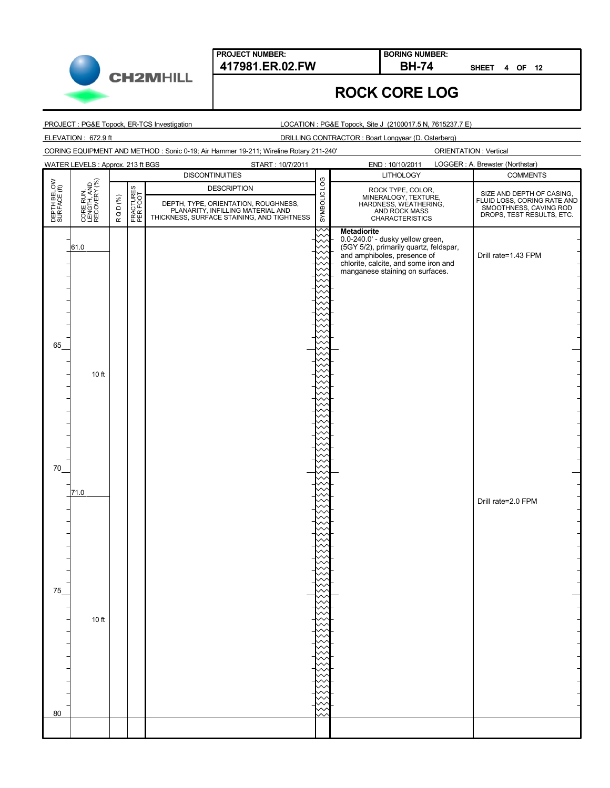

**BORING NUMBER:**

**SHEET 4 OF 12**

## **ROCK CORE LOG**

PROJECT : PG&E Topock, ER-TCS Investigation

LOCATION : PG&E Topock, Site J (2100017.5 N, 7615237.7 E)

ELEVATION : 672.9 ft DRILLING CONTRACTOR : Boart Longyear (D. Osterberg)

CORING EQUIPMENT AND METHOD : Sonic 0-19; Air Hammer 19-211; Wireline Rotary 211-240'

|                             | WATER LEVELS : Approx. 213 ft BGS<br>START: 10/7/2011 |        |                       |                                                                           |              | LOGGER : A. Brewster (Northstar)<br>END: 10/10/2011                                 |                                                                                                                 |  |
|-----------------------------|-------------------------------------------------------|--------|-----------------------|---------------------------------------------------------------------------|--------------|-------------------------------------------------------------------------------------|-----------------------------------------------------------------------------------------------------------------|--|
|                             |                                                       |        |                       | <b>DISCONTINUITIES</b>                                                    |              | <b>LITHOLOGY</b>                                                                    | <b>COMMENTS</b>                                                                                                 |  |
| DEPTH BELOW<br>SURFACE (ft) | CORE RUN,<br>LENGTH, AND<br>RECOVERY (%)              |        | FRACTURES<br>PER FOOT | <b>DESCRIPTION</b>                                                        | SYMBOLIC LOG |                                                                                     |                                                                                                                 |  |
|                             |                                                       | RQD(%) |                       |                                                                           |              | ROCK TYPE, COLOR,<br>MINERALOGY, TEXTURE,<br>HARDNESS, WEATHERING,<br>AND ROCK MASS | SIZE AND DEPTH OF CASING,<br>FLUID LOSS, CORING RATE AND<br>SMOOTHNESS, CAVING ROD<br>DROPS, TEST RESULTS, ETC. |  |
|                             |                                                       |        |                       | DEPTH, TYPE, ORIENTATION, ROUGHNESS,<br>PLANARITY, INFILLING MATERIAL AND |              |                                                                                     |                                                                                                                 |  |
|                             |                                                       |        |                       | THICKNESS, SURFACE STAINING, AND TIGHTNESS                                |              | <b>CHARACTERISTICS</b>                                                              |                                                                                                                 |  |
|                             |                                                       |        |                       |                                                                           |              | <b>Metadiorite</b><br>0.0-240.0' - dusky yellow green,                              |                                                                                                                 |  |
|                             | 61.0                                                  |        |                       |                                                                           |              | (5GY 5/2), primarily quartz, feldspar,<br>and amphiboles, presence of               |                                                                                                                 |  |
|                             |                                                       |        |                       |                                                                           |              | chlorite, calcite, and some iron and                                                | Drill rate=1.43 FPM                                                                                             |  |
|                             |                                                       |        |                       |                                                                           |              | manganese staining on surfaces.                                                     |                                                                                                                 |  |
|                             |                                                       |        |                       |                                                                           |              |                                                                                     |                                                                                                                 |  |
|                             |                                                       |        |                       |                                                                           |              |                                                                                     |                                                                                                                 |  |
|                             |                                                       |        |                       |                                                                           |              |                                                                                     |                                                                                                                 |  |
|                             |                                                       |        |                       |                                                                           |              |                                                                                     |                                                                                                                 |  |
|                             |                                                       |        |                       |                                                                           |              |                                                                                     |                                                                                                                 |  |
|                             |                                                       |        |                       |                                                                           |              |                                                                                     |                                                                                                                 |  |
| 65                          |                                                       |        |                       |                                                                           |              |                                                                                     |                                                                                                                 |  |
|                             |                                                       |        |                       |                                                                           |              |                                                                                     |                                                                                                                 |  |
|                             | 10 ft                                                 |        |                       |                                                                           |              |                                                                                     |                                                                                                                 |  |
|                             |                                                       |        |                       |                                                                           |              |                                                                                     |                                                                                                                 |  |
|                             |                                                       |        |                       |                                                                           |              |                                                                                     |                                                                                                                 |  |
|                             |                                                       |        |                       |                                                                           |              |                                                                                     |                                                                                                                 |  |
|                             |                                                       |        |                       |                                                                           |              |                                                                                     |                                                                                                                 |  |
|                             |                                                       |        |                       |                                                                           |              |                                                                                     |                                                                                                                 |  |
|                             |                                                       |        |                       |                                                                           |              |                                                                                     |                                                                                                                 |  |
|                             |                                                       |        |                       |                                                                           |              |                                                                                     |                                                                                                                 |  |
| 70                          |                                                       |        |                       |                                                                           |              |                                                                                     |                                                                                                                 |  |
|                             |                                                       |        |                       |                                                                           |              |                                                                                     |                                                                                                                 |  |
|                             | 71.0                                                  |        |                       |                                                                           |              |                                                                                     |                                                                                                                 |  |
|                             |                                                       |        |                       |                                                                           |              |                                                                                     | Drill rate=2.0 FPM                                                                                              |  |
|                             |                                                       |        |                       |                                                                           |              |                                                                                     |                                                                                                                 |  |
|                             |                                                       |        |                       |                                                                           |              |                                                                                     |                                                                                                                 |  |
|                             |                                                       |        |                       |                                                                           |              |                                                                                     |                                                                                                                 |  |
|                             |                                                       |        |                       |                                                                           |              |                                                                                     |                                                                                                                 |  |
|                             |                                                       |        |                       |                                                                           |              |                                                                                     |                                                                                                                 |  |
|                             |                                                       |        |                       |                                                                           |              |                                                                                     |                                                                                                                 |  |
|                             |                                                       |        |                       |                                                                           |              |                                                                                     |                                                                                                                 |  |
| 75                          |                                                       |        |                       |                                                                           |              |                                                                                     |                                                                                                                 |  |
|                             |                                                       |        |                       |                                                                           |              |                                                                                     |                                                                                                                 |  |
|                             | 10 ft                                                 |        |                       |                                                                           |              |                                                                                     |                                                                                                                 |  |
|                             |                                                       |        |                       |                                                                           |              |                                                                                     |                                                                                                                 |  |
|                             |                                                       |        |                       |                                                                           |              |                                                                                     |                                                                                                                 |  |
|                             |                                                       |        |                       |                                                                           |              |                                                                                     |                                                                                                                 |  |
|                             |                                                       |        |                       |                                                                           |              |                                                                                     |                                                                                                                 |  |
|                             |                                                       |        |                       |                                                                           |              |                                                                                     |                                                                                                                 |  |
|                             |                                                       |        |                       |                                                                           |              |                                                                                     |                                                                                                                 |  |
|                             |                                                       |        |                       |                                                                           |              |                                                                                     |                                                                                                                 |  |
| 80                          |                                                       |        |                       |                                                                           |              |                                                                                     |                                                                                                                 |  |
|                             |                                                       |        |                       |                                                                           |              |                                                                                     |                                                                                                                 |  |
|                             |                                                       |        |                       |                                                                           |              |                                                                                     |                                                                                                                 |  |

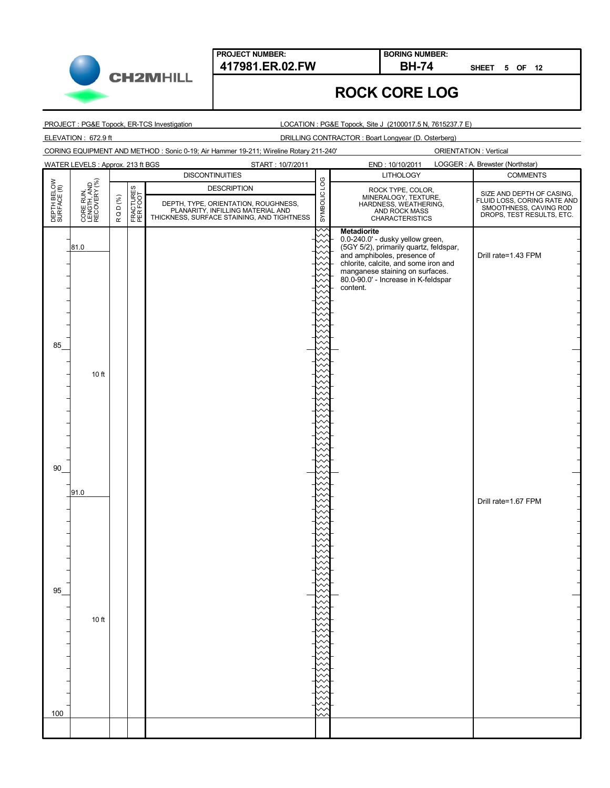**CH2MHILL** 

#### **417981.ER.02.FW BH-74**

**SHEET 5 OF 12**

# **ROCK CORE LOG**

**BORING NUMBER:**

PROJECT : PG&E Topock, ER-TCS Investigation

LOCATION : PG&E Topock, Site J (2100017.5 N, 7615237.7 E)

ELEVATION : 672.9 ft DRILLING CONTRACTOR : Boart Longyear (D. Osterberg)

CORING EQUIPMENT AND METHOD : Sonic 0-19; Air Hammer 19-211; Wireline Rotary 211-240'

|                             | WATER LEVELS : Approx. 213 ft BGS        |        |                       | START: 10/7/2011                                                                                                        |              | END: 10/10/2011                                                                                           | LOGGER : A. Brewster (Northstar)                      |  |
|-----------------------------|------------------------------------------|--------|-----------------------|-------------------------------------------------------------------------------------------------------------------------|--------------|-----------------------------------------------------------------------------------------------------------|-------------------------------------------------------|--|
|                             |                                          |        |                       | <b>DISCONTINUITIES</b>                                                                                                  |              | <b>LITHOLOGY</b>                                                                                          | <b>COMMENTS</b>                                       |  |
| DEPTH BELOW<br>SURFACE (ft) | CORE RUN,<br>LENGTH, AND<br>RECOVERY (%) |        |                       | <b>DESCRIPTION</b>                                                                                                      | SYMBOLIC LOG |                                                                                                           | SIZE AND DEPTH OF CASING,                             |  |
|                             |                                          | RQD(%) | FRACTURES<br>PER FOOT |                                                                                                                         |              | ROCK TYPE, COLOR,<br>MINERALOGY, TEXTURE,<br>HARDNESS, WEATHERING,                                        | FLUID LOSS, CORING RATE AND<br>SMOOTHNESS, CAVING ROD |  |
|                             |                                          |        |                       | DEPTH, TYPE, ORIENTATION, ROUGHNESS,<br>PLANARITY, INFILLING MATERIAL AND<br>THICKNESS, SURFACE STAINING, AND TIGHTNESS |              | AND ROCK MASS<br>CHARACTERISTICS                                                                          | DROPS, TEST RESULTS, ETC.                             |  |
|                             |                                          |        |                       |                                                                                                                         |              | <b>Metadiorite</b>                                                                                        |                                                       |  |
|                             |                                          |        |                       |                                                                                                                         |              |                                                                                                           |                                                       |  |
|                             | 81.0                                     |        |                       |                                                                                                                         |              | 0.0-240.0' - dusky yellow green,<br>(5GY 5/2), primarily quartz, feldspar,<br>and amphiboles, presence of |                                                       |  |
|                             |                                          |        |                       |                                                                                                                         |              | chlorite, calcite, and some iron and                                                                      | Drill rate=1.43 FPM                                   |  |
|                             |                                          |        |                       |                                                                                                                         |              | manganese staining on surfaces.<br>80.0-90.0' - Increase in K-feldspar                                    |                                                       |  |
|                             |                                          |        |                       |                                                                                                                         |              | content.                                                                                                  |                                                       |  |
|                             |                                          |        |                       |                                                                                                                         |              |                                                                                                           |                                                       |  |
|                             |                                          |        |                       |                                                                                                                         |              |                                                                                                           |                                                       |  |
|                             |                                          |        |                       |                                                                                                                         |              |                                                                                                           |                                                       |  |
|                             |                                          |        |                       |                                                                                                                         |              |                                                                                                           |                                                       |  |
| 85                          |                                          |        |                       |                                                                                                                         |              |                                                                                                           |                                                       |  |
|                             |                                          |        |                       |                                                                                                                         |              |                                                                                                           |                                                       |  |
|                             | 10 ft                                    |        |                       |                                                                                                                         |              |                                                                                                           |                                                       |  |
|                             |                                          |        |                       |                                                                                                                         |              |                                                                                                           |                                                       |  |
|                             |                                          |        |                       |                                                                                                                         |              |                                                                                                           |                                                       |  |
|                             |                                          |        |                       |                                                                                                                         |              |                                                                                                           |                                                       |  |
|                             |                                          |        |                       |                                                                                                                         |              |                                                                                                           |                                                       |  |
|                             |                                          |        |                       |                                                                                                                         |              |                                                                                                           |                                                       |  |
|                             |                                          |        |                       |                                                                                                                         |              |                                                                                                           |                                                       |  |
|                             |                                          |        |                       |                                                                                                                         |              |                                                                                                           |                                                       |  |
| 90                          |                                          |        |                       |                                                                                                                         |              |                                                                                                           |                                                       |  |
|                             |                                          |        |                       |                                                                                                                         |              |                                                                                                           |                                                       |  |
|                             | 91.0                                     |        |                       |                                                                                                                         |              |                                                                                                           |                                                       |  |
|                             |                                          |        |                       |                                                                                                                         |              |                                                                                                           | Drill rate=1.67 FPM                                   |  |
|                             |                                          |        |                       |                                                                                                                         |              |                                                                                                           |                                                       |  |
|                             |                                          |        |                       |                                                                                                                         |              |                                                                                                           |                                                       |  |
|                             |                                          |        |                       |                                                                                                                         |              |                                                                                                           |                                                       |  |
|                             |                                          |        |                       |                                                                                                                         |              |                                                                                                           |                                                       |  |
|                             |                                          |        |                       |                                                                                                                         |              |                                                                                                           |                                                       |  |
|                             |                                          |        |                       |                                                                                                                         |              |                                                                                                           |                                                       |  |
| 95                          |                                          |        |                       |                                                                                                                         |              |                                                                                                           |                                                       |  |
|                             |                                          |        |                       |                                                                                                                         |              |                                                                                                           |                                                       |  |
|                             |                                          |        |                       |                                                                                                                         |              |                                                                                                           |                                                       |  |
|                             | 10 ft                                    |        |                       |                                                                                                                         |              |                                                                                                           |                                                       |  |
|                             |                                          |        |                       |                                                                                                                         |              |                                                                                                           |                                                       |  |
|                             |                                          |        |                       |                                                                                                                         |              |                                                                                                           |                                                       |  |
|                             |                                          |        |                       |                                                                                                                         |              |                                                                                                           |                                                       |  |
|                             |                                          |        |                       |                                                                                                                         |              |                                                                                                           |                                                       |  |
|                             |                                          |        |                       |                                                                                                                         |              |                                                                                                           |                                                       |  |
|                             |                                          |        |                       |                                                                                                                         |              |                                                                                                           |                                                       |  |
|                             |                                          |        |                       |                                                                                                                         |              |                                                                                                           |                                                       |  |
| 100                         |                                          |        |                       |                                                                                                                         |              |                                                                                                           |                                                       |  |
|                             |                                          |        |                       |                                                                                                                         |              |                                                                                                           |                                                       |  |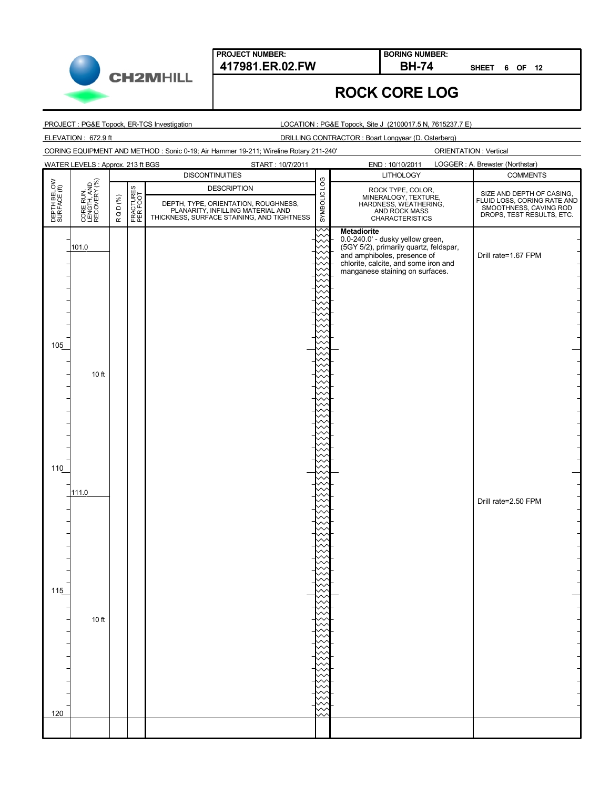



#### **BORING NUMBER:**

**SHEET 6 OF 12**

# **ROCK CORE LOG**

PROJECT : PG&E Topock, ER-TCS Investigation

LOCATION : PG&E Topock, Site J (2100017.5 N, 7615237.7 E)

ELEVATION : 672.9 ft DRILLING CONTRACTOR : Boart Longyear (D. Osterberg)

CORING EQUIPMENT AND METHOD : Sonic 0-19; Air Hammer 19-211; Wireline Rotary 211-240'

|                             | <b>WATER LEVELS: Approx. 213 ft BGS</b><br>START: 10/7/2011 |        |                       |                                                                                                                         | LOGGER : A. Brewster (Northstar)<br>END: 10/10/2011 |                                                                                     |                                                                                                                 |
|-----------------------------|-------------------------------------------------------------|--------|-----------------------|-------------------------------------------------------------------------------------------------------------------------|-----------------------------------------------------|-------------------------------------------------------------------------------------|-----------------------------------------------------------------------------------------------------------------|
|                             |                                                             |        |                       | <b>DISCONTINUITIES</b>                                                                                                  |                                                     | <b>LITHOLOGY</b>                                                                    | <b>COMMENTS</b>                                                                                                 |
| DEPTH BELOW<br>SURFACE (ft) | CORE RUN,<br>LENGTH, AND<br>RECOVERY (%)                    |        |                       | <b>DESCRIPTION</b>                                                                                                      | SYMBOLIC LOG                                        |                                                                                     |                                                                                                                 |
|                             |                                                             | RQD(%) | FRACTURES<br>PER FOOT |                                                                                                                         |                                                     | ROCK TYPE, COLOR,<br>MINERALOGY, TEXTURE,<br>HARDNESS, WEATHERING,<br>AND ROCK MASS | SIZE AND DEPTH OF CASING,<br>FLUID LOSS, CORING RATE AND<br>SMOOTHNESS, CAVING ROD<br>DROPS, TEST RESULTS, ETC. |
|                             |                                                             |        |                       | DEPTH, TYPE, ORIENTATION, ROUGHNESS,<br>PLANARITY, INFILLING MATERIAL AND<br>THICKNESS, SURFACE STAINING, AND TIGHTNESS |                                                     | <b>CHARACTERISTICS</b>                                                              |                                                                                                                 |
|                             |                                                             |        |                       |                                                                                                                         |                                                     | <b>Metadiorite</b>                                                                  |                                                                                                                 |
|                             |                                                             |        |                       |                                                                                                                         |                                                     | 0.0-240.0' - dusky yellow green,                                                    |                                                                                                                 |
|                             | 101.0                                                       |        |                       |                                                                                                                         |                                                     | (5GY 5/2), primarily quartz, feldspar,<br>and amphiboles, presence of               | Drill rate=1.67 FPM                                                                                             |
|                             |                                                             |        |                       |                                                                                                                         |                                                     | chlorite, calcite, and some iron and                                                |                                                                                                                 |
|                             |                                                             |        |                       |                                                                                                                         |                                                     | manganese staining on surfaces.                                                     |                                                                                                                 |
|                             |                                                             |        |                       |                                                                                                                         |                                                     |                                                                                     |                                                                                                                 |
|                             |                                                             |        |                       |                                                                                                                         |                                                     |                                                                                     |                                                                                                                 |
|                             |                                                             |        |                       |                                                                                                                         |                                                     |                                                                                     |                                                                                                                 |
|                             |                                                             |        |                       |                                                                                                                         |                                                     |                                                                                     |                                                                                                                 |
|                             |                                                             |        |                       |                                                                                                                         |                                                     |                                                                                     |                                                                                                                 |
| 105                         |                                                             |        |                       |                                                                                                                         |                                                     |                                                                                     |                                                                                                                 |
|                             |                                                             |        |                       |                                                                                                                         |                                                     |                                                                                     |                                                                                                                 |
|                             | 10 ft                                                       |        |                       |                                                                                                                         |                                                     |                                                                                     |                                                                                                                 |
|                             |                                                             |        |                       |                                                                                                                         |                                                     |                                                                                     |                                                                                                                 |
|                             |                                                             |        |                       |                                                                                                                         |                                                     |                                                                                     |                                                                                                                 |
|                             |                                                             |        |                       |                                                                                                                         |                                                     |                                                                                     |                                                                                                                 |
|                             |                                                             |        |                       |                                                                                                                         |                                                     |                                                                                     |                                                                                                                 |
|                             |                                                             |        |                       |                                                                                                                         |                                                     |                                                                                     |                                                                                                                 |
|                             |                                                             |        |                       |                                                                                                                         |                                                     |                                                                                     |                                                                                                                 |
|                             |                                                             |        |                       |                                                                                                                         |                                                     |                                                                                     |                                                                                                                 |
| 110                         |                                                             |        |                       |                                                                                                                         |                                                     |                                                                                     |                                                                                                                 |
|                             |                                                             |        |                       |                                                                                                                         |                                                     |                                                                                     |                                                                                                                 |
|                             | 111.0                                                       |        |                       |                                                                                                                         |                                                     |                                                                                     |                                                                                                                 |
|                             |                                                             |        |                       |                                                                                                                         |                                                     |                                                                                     | Drill rate=2.50 FPM                                                                                             |
|                             |                                                             |        |                       |                                                                                                                         |                                                     |                                                                                     |                                                                                                                 |
|                             |                                                             |        |                       |                                                                                                                         |                                                     |                                                                                     |                                                                                                                 |
|                             |                                                             |        |                       |                                                                                                                         |                                                     |                                                                                     |                                                                                                                 |
|                             |                                                             |        |                       |                                                                                                                         |                                                     |                                                                                     |                                                                                                                 |
|                             |                                                             |        |                       |                                                                                                                         |                                                     |                                                                                     |                                                                                                                 |
|                             |                                                             |        |                       |                                                                                                                         |                                                     |                                                                                     |                                                                                                                 |
| 115                         |                                                             |        |                       |                                                                                                                         |                                                     |                                                                                     |                                                                                                                 |
|                             |                                                             |        |                       |                                                                                                                         |                                                     |                                                                                     |                                                                                                                 |
|                             |                                                             |        |                       |                                                                                                                         |                                                     |                                                                                     |                                                                                                                 |
|                             | 10 ft                                                       |        |                       |                                                                                                                         |                                                     |                                                                                     |                                                                                                                 |
|                             |                                                             |        |                       |                                                                                                                         |                                                     |                                                                                     |                                                                                                                 |
|                             |                                                             |        |                       |                                                                                                                         |                                                     |                                                                                     |                                                                                                                 |
|                             |                                                             |        |                       |                                                                                                                         |                                                     |                                                                                     |                                                                                                                 |
|                             |                                                             |        |                       |                                                                                                                         |                                                     |                                                                                     |                                                                                                                 |
|                             |                                                             |        |                       |                                                                                                                         |                                                     |                                                                                     |                                                                                                                 |
|                             |                                                             |        |                       |                                                                                                                         |                                                     |                                                                                     |                                                                                                                 |
|                             |                                                             |        |                       |                                                                                                                         |                                                     |                                                                                     |                                                                                                                 |
| 120                         |                                                             |        |                       |                                                                                                                         |                                                     |                                                                                     |                                                                                                                 |
|                             |                                                             |        |                       |                                                                                                                         |                                                     |                                                                                     |                                                                                                                 |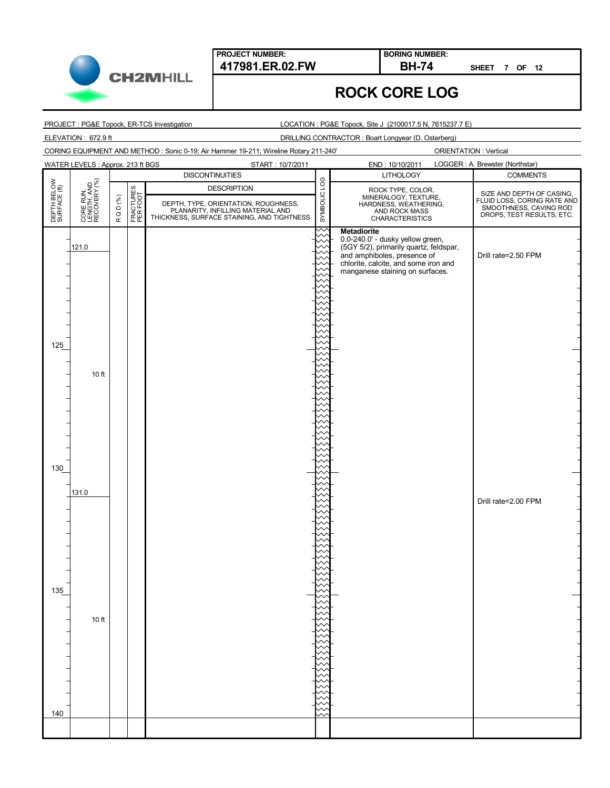

**417981.ER.02.FW BH-74 BORING NUMBER:**

**SHEET 7 OF 12**

## **ROCK CORE LOG**

PROJECT : PG&E Topock, ER-TCS Investigation

LOCATION : PG&E Topock, Site J (2100017.5 N, 7615237.7 E)

ELEVATION : 672.9 ft DRILLING CONTRACTOR : Boart Longyear (D. Osterberg)

CORING EQUIPMENT AND METHOD : Sonic 0-19; Air Hammer 19-211; Wireline Rotary 211-240'

|                             | WATER LEVELS : Approx. 213 ft BGS<br>START: 10/7/2011 |        |                       |                                                                                                                         |              | LOGGER : A. Brewster (Northstar)<br>END: 10/10/2011                                 |                                                                                                                 |  |  |
|-----------------------------|-------------------------------------------------------|--------|-----------------------|-------------------------------------------------------------------------------------------------------------------------|--------------|-------------------------------------------------------------------------------------|-----------------------------------------------------------------------------------------------------------------|--|--|
|                             |                                                       |        |                       | <b>DISCONTINUITIES</b>                                                                                                  |              | <b>LITHOLOGY</b>                                                                    | <b>COMMENTS</b>                                                                                                 |  |  |
| DEPTH BELOW<br>SURFACE (ft) | CORE RUN,<br>LENGTH, AND<br>RECOVERY (%)              |        |                       | <b>DESCRIPTION</b>                                                                                                      | SYMBOLIC LOG |                                                                                     |                                                                                                                 |  |  |
|                             |                                                       |        |                       |                                                                                                                         |              | ROCK TYPE, COLOR,<br>MINERALOGY, TEXTURE,<br>HARDNESS, WEATHERING,<br>AND ROCK MASS |                                                                                                                 |  |  |
|                             |                                                       | RQD(%) | FRACTURES<br>PER FOOT | DEPTH, TYPE, ORIENTATION, ROUGHNESS,<br>PLANARITY, INFILLING MATERIAL AND<br>THICKNESS, SURFACE STAINING, AND TIGHTNESS |              | <b>CHARACTERISTICS</b>                                                              | SIZE AND DEPTH OF CASING,<br>FLUID LOSS, CORING RATE AND<br>SMOOTHNESS, CAVING ROD<br>DROPS, TEST RESULTS, ETC. |  |  |
|                             |                                                       |        |                       |                                                                                                                         |              | <b>Metadiorite</b>                                                                  |                                                                                                                 |  |  |
|                             |                                                       |        |                       |                                                                                                                         |              | 0.0-240.0' - dusky yellow green,                                                    |                                                                                                                 |  |  |
|                             | 121.0                                                 |        |                       |                                                                                                                         |              | (5GY 5/2), primarily quartz, feldspar,<br>and amphiboles, presence of               | Drill rate=2.50 FPM                                                                                             |  |  |
|                             |                                                       |        |                       |                                                                                                                         |              | chlorite, calcite, and some iron and                                                |                                                                                                                 |  |  |
|                             |                                                       |        |                       |                                                                                                                         |              | manganese staining on surfaces.                                                     |                                                                                                                 |  |  |
|                             |                                                       |        |                       |                                                                                                                         |              |                                                                                     |                                                                                                                 |  |  |
|                             |                                                       |        |                       |                                                                                                                         |              |                                                                                     |                                                                                                                 |  |  |
|                             |                                                       |        |                       |                                                                                                                         |              |                                                                                     |                                                                                                                 |  |  |
|                             |                                                       |        |                       |                                                                                                                         |              |                                                                                     |                                                                                                                 |  |  |
|                             |                                                       |        |                       |                                                                                                                         |              |                                                                                     |                                                                                                                 |  |  |
| 125                         |                                                       |        |                       |                                                                                                                         |              |                                                                                     |                                                                                                                 |  |  |
|                             |                                                       |        |                       |                                                                                                                         |              |                                                                                     |                                                                                                                 |  |  |
|                             | 10 ft                                                 |        |                       |                                                                                                                         |              |                                                                                     |                                                                                                                 |  |  |
|                             |                                                       |        |                       |                                                                                                                         |              |                                                                                     |                                                                                                                 |  |  |
|                             |                                                       |        |                       |                                                                                                                         |              |                                                                                     |                                                                                                                 |  |  |
|                             |                                                       |        |                       |                                                                                                                         |              |                                                                                     |                                                                                                                 |  |  |
|                             |                                                       |        |                       |                                                                                                                         |              |                                                                                     |                                                                                                                 |  |  |
|                             |                                                       |        |                       |                                                                                                                         |              |                                                                                     |                                                                                                                 |  |  |
|                             |                                                       |        |                       |                                                                                                                         |              |                                                                                     |                                                                                                                 |  |  |
|                             |                                                       |        |                       |                                                                                                                         |              |                                                                                     |                                                                                                                 |  |  |
| 130                         |                                                       |        |                       |                                                                                                                         |              |                                                                                     |                                                                                                                 |  |  |
|                             |                                                       |        |                       |                                                                                                                         |              |                                                                                     |                                                                                                                 |  |  |
|                             | 131.0                                                 |        |                       |                                                                                                                         |              |                                                                                     | Drill rate=2.00 FPM                                                                                             |  |  |
|                             |                                                       |        |                       |                                                                                                                         |              |                                                                                     |                                                                                                                 |  |  |
|                             |                                                       |        |                       |                                                                                                                         |              |                                                                                     |                                                                                                                 |  |  |
|                             |                                                       |        |                       |                                                                                                                         |              |                                                                                     |                                                                                                                 |  |  |
|                             |                                                       |        |                       |                                                                                                                         |              |                                                                                     |                                                                                                                 |  |  |
|                             |                                                       |        |                       |                                                                                                                         |              |                                                                                     |                                                                                                                 |  |  |
|                             |                                                       |        |                       |                                                                                                                         |              |                                                                                     |                                                                                                                 |  |  |
|                             |                                                       |        |                       |                                                                                                                         |              |                                                                                     |                                                                                                                 |  |  |
| 135                         |                                                       |        |                       |                                                                                                                         |              |                                                                                     |                                                                                                                 |  |  |
|                             |                                                       |        |                       |                                                                                                                         |              |                                                                                     |                                                                                                                 |  |  |
|                             | 10 ft                                                 |        |                       |                                                                                                                         |              |                                                                                     |                                                                                                                 |  |  |
|                             |                                                       |        |                       |                                                                                                                         |              |                                                                                     |                                                                                                                 |  |  |
|                             |                                                       |        |                       |                                                                                                                         |              |                                                                                     |                                                                                                                 |  |  |
|                             |                                                       |        |                       |                                                                                                                         |              |                                                                                     |                                                                                                                 |  |  |
|                             |                                                       |        |                       |                                                                                                                         |              |                                                                                     |                                                                                                                 |  |  |
|                             |                                                       |        |                       |                                                                                                                         |              |                                                                                     |                                                                                                                 |  |  |
|                             |                                                       |        |                       |                                                                                                                         |              |                                                                                     |                                                                                                                 |  |  |
|                             |                                                       |        |                       |                                                                                                                         |              |                                                                                     |                                                                                                                 |  |  |
| $140$                       |                                                       |        |                       |                                                                                                                         |              |                                                                                     |                                                                                                                 |  |  |
|                             |                                                       |        |                       |                                                                                                                         |              |                                                                                     |                                                                                                                 |  |  |

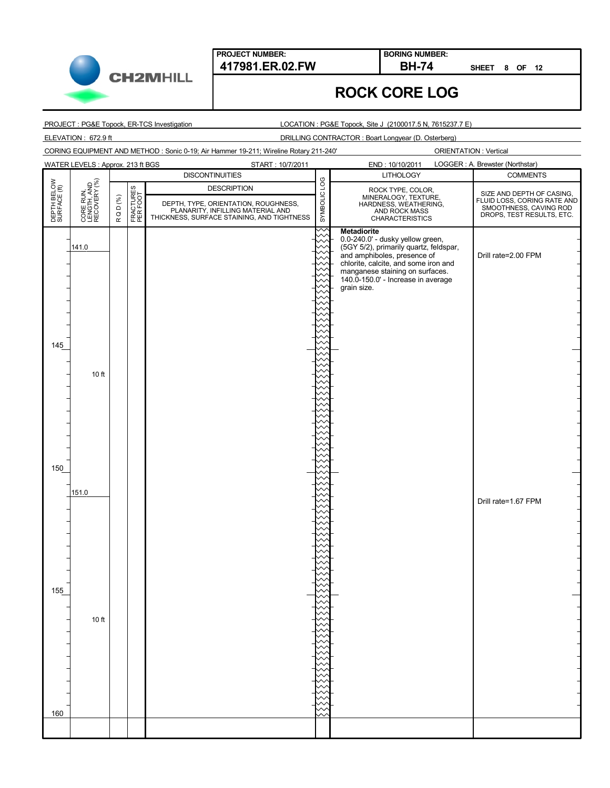**CH2MHILL** 

**SHEET 8 OF 12**

# **ROCK CORE LOG**

**BORING NUMBER:**

PROJECT : PG&E Topock, ER-TCS Investigation

LOCATION : PG&E Topock, Site J (2100017.5 N, 7615237.7 E)

ELEVATION : 672.9 ft DRILLING CONTRACTOR : Boart Longyear (D. Osterberg)

CORING EQUIPMENT AND METHOD : Sonic 0-19; Air Hammer 19-211; Wireline Rotary 211-240'

|                             | <b>WATER LEVELS: Approx. 213 ft BGS</b><br>START: 10/7/2011 |        |                       |                                                                                                                         |              | LOGGER : A. Brewster (Northstar)<br>END: 10/10/2011                                 |                                                                                    |  |
|-----------------------------|-------------------------------------------------------------|--------|-----------------------|-------------------------------------------------------------------------------------------------------------------------|--------------|-------------------------------------------------------------------------------------|------------------------------------------------------------------------------------|--|
|                             |                                                             |        |                       | <b>DISCONTINUITIES</b>                                                                                                  |              | <b>LITHOLOGY</b>                                                                    | <b>COMMENTS</b>                                                                    |  |
| DEPTH BELOW<br>SURFACE (ft) | CORE RUN,<br>LENGTH, AND<br>RECOVERY (%)                    |        |                       | <b>DESCRIPTION</b>                                                                                                      | SYMBOLIC LOG |                                                                                     | SIZE AND DEPTH OF CASING,                                                          |  |
|                             |                                                             |        |                       |                                                                                                                         |              | ROCK TYPE, COLOR,<br>MINERALOGY, TEXTURE,<br>HARDNESS, WEATHERING,<br>AND ROCK MASS |                                                                                    |  |
|                             |                                                             | RQD(%) | FRACTURES<br>PER FOOT | DEPTH, TYPE, ORIENTATION, ROUGHNESS,<br>PLANARITY, INFILLING MATERIAL AND<br>THICKNESS, SURFACE STAINING, AND TIGHTNESS |              | <b>CHARACTERISTICS</b>                                                              | FLUID LOSS, CORING RATE AND<br>SMOOTHNESS, CAVING ROD<br>DROPS, TEST RESULTS, ETC. |  |
|                             |                                                             |        |                       |                                                                                                                         |              | <b>Metadiorite</b>                                                                  |                                                                                    |  |
|                             |                                                             |        |                       |                                                                                                                         |              | 0.0-240.0' - dusky yellow green,                                                    |                                                                                    |  |
|                             | 141.0                                                       |        |                       |                                                                                                                         |              | (5GY 5/2), primarily quartz, feldspar,<br>and amphiboles, presence of               | Drill rate=2.00 FPM                                                                |  |
|                             |                                                             |        |                       |                                                                                                                         |              | chlorite, calcite, and some iron and                                                |                                                                                    |  |
|                             |                                                             |        |                       |                                                                                                                         |              | manganese staining on surfaces.<br>140.0-150.0' - Increase in average               |                                                                                    |  |
|                             |                                                             |        |                       |                                                                                                                         |              | grain size.                                                                         |                                                                                    |  |
|                             |                                                             |        |                       |                                                                                                                         |              |                                                                                     |                                                                                    |  |
|                             |                                                             |        |                       |                                                                                                                         |              |                                                                                     |                                                                                    |  |
|                             |                                                             |        |                       |                                                                                                                         |              |                                                                                     |                                                                                    |  |
|                             |                                                             |        |                       |                                                                                                                         |              |                                                                                     |                                                                                    |  |
| 145                         |                                                             |        |                       |                                                                                                                         |              |                                                                                     |                                                                                    |  |
|                             |                                                             |        |                       |                                                                                                                         |              |                                                                                     |                                                                                    |  |
|                             | 10 ft                                                       |        |                       |                                                                                                                         |              |                                                                                     |                                                                                    |  |
|                             |                                                             |        |                       |                                                                                                                         |              |                                                                                     |                                                                                    |  |
|                             |                                                             |        |                       |                                                                                                                         |              |                                                                                     |                                                                                    |  |
|                             |                                                             |        |                       |                                                                                                                         |              |                                                                                     |                                                                                    |  |
|                             |                                                             |        |                       |                                                                                                                         |              |                                                                                     |                                                                                    |  |
|                             |                                                             |        |                       |                                                                                                                         |              |                                                                                     |                                                                                    |  |
|                             |                                                             |        |                       |                                                                                                                         |              |                                                                                     |                                                                                    |  |
|                             |                                                             |        |                       |                                                                                                                         |              |                                                                                     |                                                                                    |  |
| 150                         |                                                             |        |                       |                                                                                                                         |              |                                                                                     |                                                                                    |  |
|                             |                                                             |        |                       |                                                                                                                         |              |                                                                                     |                                                                                    |  |
|                             | 151.0                                                       |        |                       |                                                                                                                         |              |                                                                                     |                                                                                    |  |
|                             |                                                             |        |                       |                                                                                                                         |              |                                                                                     | Drill rate=1.67 FPM                                                                |  |
|                             |                                                             |        |                       |                                                                                                                         |              |                                                                                     |                                                                                    |  |
|                             |                                                             |        |                       |                                                                                                                         |              |                                                                                     |                                                                                    |  |
|                             |                                                             |        |                       |                                                                                                                         |              |                                                                                     |                                                                                    |  |
|                             |                                                             |        |                       |                                                                                                                         |              |                                                                                     |                                                                                    |  |
|                             |                                                             |        |                       |                                                                                                                         |              |                                                                                     |                                                                                    |  |
|                             |                                                             |        |                       |                                                                                                                         |              |                                                                                     |                                                                                    |  |
| 155                         |                                                             |        |                       |                                                                                                                         |              |                                                                                     |                                                                                    |  |
|                             |                                                             |        |                       |                                                                                                                         |              |                                                                                     |                                                                                    |  |
|                             | 10 ft                                                       |        |                       |                                                                                                                         |              |                                                                                     |                                                                                    |  |
|                             |                                                             |        |                       |                                                                                                                         |              |                                                                                     |                                                                                    |  |
|                             |                                                             |        |                       |                                                                                                                         |              |                                                                                     |                                                                                    |  |
|                             |                                                             |        |                       |                                                                                                                         |              |                                                                                     |                                                                                    |  |
|                             |                                                             |        |                       |                                                                                                                         |              |                                                                                     |                                                                                    |  |
|                             |                                                             |        |                       |                                                                                                                         |              |                                                                                     |                                                                                    |  |
|                             |                                                             |        |                       |                                                                                                                         |              |                                                                                     |                                                                                    |  |
|                             |                                                             |        |                       |                                                                                                                         |              |                                                                                     |                                                                                    |  |
| 160                         |                                                             |        |                       |                                                                                                                         |              |                                                                                     |                                                                                    |  |
|                             |                                                             |        |                       |                                                                                                                         |              |                                                                                     |                                                                                    |  |
|                             |                                                             |        |                       |                                                                                                                         |              |                                                                                     |                                                                                    |  |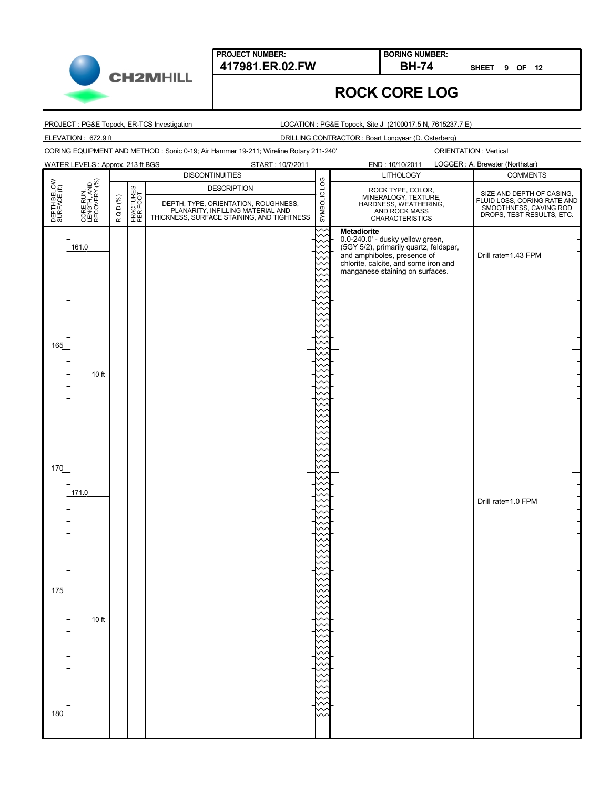

**BORING NUMBER:**

**SHEET 9 OF 12**

#### **ROCK CORE LOG**

PROJECT : PG&E Topock, ER-TCS Investigation

LOCATION : PG&E Topock, Site J (2100017.5 N, 7615237.7 E)

ELEVATION : 672.9 ft DRILLING CONTRACTOR : Boart Longyear (D. Osterberg)

CORING EQUIPMENT AND METHOD : Sonic 0-19; Air Hammer 19-211; Wireline Rotary 211-240'

|                             | WATER LEVELS : Approx. 213 ft BGS<br>START: 10/7/2011 |        |                       |                                                                                                                         |              | LOGGER : A. Brewster (Northstar)<br>END: 10/10/2011                                 |                                                                                                                 |  |
|-----------------------------|-------------------------------------------------------|--------|-----------------------|-------------------------------------------------------------------------------------------------------------------------|--------------|-------------------------------------------------------------------------------------|-----------------------------------------------------------------------------------------------------------------|--|
|                             |                                                       |        |                       | <b>DISCONTINUITIES</b>                                                                                                  |              | <b>LITHOLOGY</b>                                                                    | <b>COMMENTS</b>                                                                                                 |  |
| DEPTH BELOW<br>SURFACE (ft) | CORE RUN,<br>LENGTH, AND<br>RECOVERY (%)              |        |                       | <b>DESCRIPTION</b>                                                                                                      | SYMBOLIC LOG |                                                                                     |                                                                                                                 |  |
|                             |                                                       |        |                       |                                                                                                                         |              | ROCK TYPE, COLOR,<br>MINERALOGY, TEXTURE,<br>HARDNESS, WEATHERING,<br>AND ROCK MASS |                                                                                                                 |  |
|                             |                                                       | RQD(%) | FRACTURES<br>PER FOOT | DEPTH, TYPE, ORIENTATION, ROUGHNESS,<br>PLANARITY, INFILLING MATERIAL AND<br>THICKNESS, SURFACE STAINING, AND TIGHTNESS |              | <b>CHARACTERISTICS</b>                                                              | SIZE AND DEPTH OF CASING,<br>FLUID LOSS, CORING RATE AND<br>SMOOTHNESS, CAVING ROD<br>DROPS, TEST RESULTS, ETC. |  |
|                             |                                                       |        |                       |                                                                                                                         |              |                                                                                     |                                                                                                                 |  |
|                             |                                                       |        |                       |                                                                                                                         |              | <b>Metadiorite</b><br>0.0-240.0' - dusky yellow green,                              |                                                                                                                 |  |
|                             | 161.0                                                 |        |                       |                                                                                                                         |              | (5GY 5/2), primarily quartz, feldspar,<br>and amphiboles, presence of               |                                                                                                                 |  |
|                             |                                                       |        |                       |                                                                                                                         |              | chlorite, calcite, and some iron and                                                | Drill rate=1.43 FPM                                                                                             |  |
|                             |                                                       |        |                       |                                                                                                                         |              | manganese staining on surfaces.                                                     |                                                                                                                 |  |
|                             |                                                       |        |                       |                                                                                                                         |              |                                                                                     |                                                                                                                 |  |
|                             |                                                       |        |                       |                                                                                                                         |              |                                                                                     |                                                                                                                 |  |
|                             |                                                       |        |                       |                                                                                                                         |              |                                                                                     |                                                                                                                 |  |
|                             |                                                       |        |                       |                                                                                                                         |              |                                                                                     |                                                                                                                 |  |
|                             |                                                       |        |                       |                                                                                                                         |              |                                                                                     |                                                                                                                 |  |
| 165                         |                                                       |        |                       |                                                                                                                         |              |                                                                                     |                                                                                                                 |  |
|                             |                                                       |        |                       |                                                                                                                         |              |                                                                                     |                                                                                                                 |  |
|                             |                                                       |        |                       |                                                                                                                         |              |                                                                                     |                                                                                                                 |  |
|                             | 10 ft                                                 |        |                       |                                                                                                                         |              |                                                                                     |                                                                                                                 |  |
|                             |                                                       |        |                       |                                                                                                                         |              |                                                                                     |                                                                                                                 |  |
|                             |                                                       |        |                       |                                                                                                                         |              |                                                                                     |                                                                                                                 |  |
|                             |                                                       |        |                       |                                                                                                                         |              |                                                                                     |                                                                                                                 |  |
|                             |                                                       |        |                       |                                                                                                                         |              |                                                                                     |                                                                                                                 |  |
|                             |                                                       |        |                       |                                                                                                                         |              |                                                                                     |                                                                                                                 |  |
|                             |                                                       |        |                       |                                                                                                                         |              |                                                                                     |                                                                                                                 |  |
| 170                         |                                                       |        |                       |                                                                                                                         |              |                                                                                     |                                                                                                                 |  |
|                             |                                                       |        |                       |                                                                                                                         |              |                                                                                     |                                                                                                                 |  |
|                             | 171.0                                                 |        |                       |                                                                                                                         |              |                                                                                     |                                                                                                                 |  |
|                             |                                                       |        |                       |                                                                                                                         |              |                                                                                     | Drill rate=1.0 FPM                                                                                              |  |
|                             |                                                       |        |                       |                                                                                                                         |              |                                                                                     |                                                                                                                 |  |
|                             |                                                       |        |                       |                                                                                                                         |              |                                                                                     |                                                                                                                 |  |
|                             |                                                       |        |                       |                                                                                                                         |              |                                                                                     |                                                                                                                 |  |
|                             |                                                       |        |                       |                                                                                                                         |              |                                                                                     |                                                                                                                 |  |
|                             |                                                       |        |                       |                                                                                                                         |              |                                                                                     |                                                                                                                 |  |
|                             |                                                       |        |                       |                                                                                                                         |              |                                                                                     |                                                                                                                 |  |
|                             |                                                       |        |                       |                                                                                                                         |              |                                                                                     |                                                                                                                 |  |
| 175                         |                                                       |        |                       |                                                                                                                         |              |                                                                                     |                                                                                                                 |  |
|                             |                                                       |        |                       |                                                                                                                         |              |                                                                                     |                                                                                                                 |  |
|                             | 10 ft                                                 |        |                       |                                                                                                                         |              |                                                                                     |                                                                                                                 |  |
|                             |                                                       |        |                       |                                                                                                                         |              |                                                                                     |                                                                                                                 |  |
|                             |                                                       |        |                       |                                                                                                                         |              |                                                                                     |                                                                                                                 |  |
|                             |                                                       |        |                       |                                                                                                                         |              |                                                                                     |                                                                                                                 |  |
|                             |                                                       |        |                       |                                                                                                                         |              |                                                                                     |                                                                                                                 |  |
|                             |                                                       |        |                       |                                                                                                                         |              |                                                                                     |                                                                                                                 |  |
|                             |                                                       |        |                       |                                                                                                                         |              |                                                                                     |                                                                                                                 |  |
|                             |                                                       |        |                       |                                                                                                                         |              |                                                                                     |                                                                                                                 |  |
| 180                         |                                                       |        |                       |                                                                                                                         |              |                                                                                     |                                                                                                                 |  |
|                             |                                                       |        |                       |                                                                                                                         |              |                                                                                     |                                                                                                                 |  |
|                             |                                                       |        |                       |                                                                                                                         |              |                                                                                     |                                                                                                                 |  |

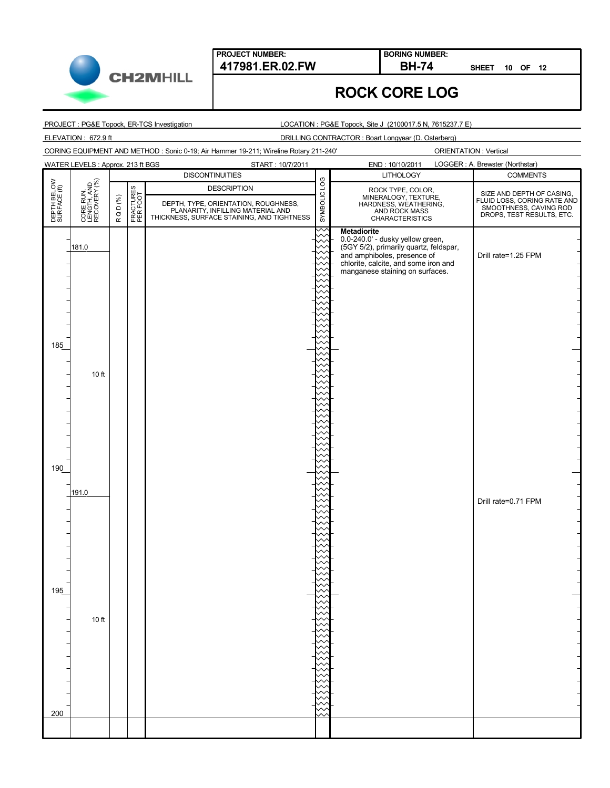**CH2MHILL** 

#### **417981.ER.02.FW BH-74 BORING NUMBER:**

**SHEET 10 OF 12**

# **ROCK CORE LOG**

PROJECT : PG&E Topock, ER-TCS Investigation

LOCATION : PG&E Topock, Site J (2100017.5 N, 7615237.7 E)

ELEVATION : 672.9 ft DRILLING CONTRACTOR : Boart Longyear (D. Osterberg)

CORING EQUIPMENT AND METHOD : Sonic 0-19; Air Hammer 19-211; Wireline Rotary 211-240'

|                             | <b>WATER LEVELS: Approx. 213 ft BGS</b><br>START: 10/7/2011 |        |                       |                                                                                                                         |              | LOGGER : A. Brewster (Northstar)<br>END: 10/10/2011                                 |                                                                                                                 |  |
|-----------------------------|-------------------------------------------------------------|--------|-----------------------|-------------------------------------------------------------------------------------------------------------------------|--------------|-------------------------------------------------------------------------------------|-----------------------------------------------------------------------------------------------------------------|--|
|                             |                                                             |        |                       | <b>DISCONTINUITIES</b>                                                                                                  |              | <b>LITHOLOGY</b>                                                                    | <b>COMMENTS</b>                                                                                                 |  |
| DEPTH BELOW<br>SURFACE (ft) | CORE RUN,<br>LENGTH, AND<br>RECOVERY (%)                    |        |                       | <b>DESCRIPTION</b>                                                                                                      | SYMBOLIC LOG |                                                                                     |                                                                                                                 |  |
|                             |                                                             | RQD(%) | FRACTURES<br>PER FOOT |                                                                                                                         |              | ROCK TYPE, COLOR,<br>MINERALOGY, TEXTURE,<br>HARDNESS, WEATHERING,<br>AND ROCK MASS | SIZE AND DEPTH OF CASING,<br>FLUID LOSS, CORING RATE AND<br>SMOOTHNESS, CAVING ROD<br>DROPS, TEST RESULTS, ETC. |  |
|                             |                                                             |        |                       | DEPTH, TYPE, ORIENTATION, ROUGHNESS,<br>PLANARITY, INFILLING MATERIAL AND<br>THICKNESS, SURFACE STAINING, AND TIGHTNESS |              | <b>CHARACTERISTICS</b>                                                              |                                                                                                                 |  |
|                             |                                                             |        |                       |                                                                                                                         |              | <b>Metadiorite</b>                                                                  |                                                                                                                 |  |
|                             |                                                             |        |                       |                                                                                                                         |              | 0.0-240.0' - dusky yellow green,                                                    |                                                                                                                 |  |
|                             | 181.0                                                       |        |                       |                                                                                                                         |              | (5GY 5/2), primarily quartz, feldspar,<br>and amphiboles, presence of               | Drill rate=1.25 FPM                                                                                             |  |
|                             |                                                             |        |                       |                                                                                                                         |              | chlorite, calcite, and some iron and                                                |                                                                                                                 |  |
|                             |                                                             |        |                       |                                                                                                                         |              | manganese staining on surfaces.                                                     |                                                                                                                 |  |
|                             |                                                             |        |                       |                                                                                                                         |              |                                                                                     |                                                                                                                 |  |
|                             |                                                             |        |                       |                                                                                                                         |              |                                                                                     |                                                                                                                 |  |
|                             |                                                             |        |                       |                                                                                                                         |              |                                                                                     |                                                                                                                 |  |
|                             |                                                             |        |                       |                                                                                                                         |              |                                                                                     |                                                                                                                 |  |
|                             |                                                             |        |                       |                                                                                                                         |              |                                                                                     |                                                                                                                 |  |
| 185                         |                                                             |        |                       |                                                                                                                         |              |                                                                                     |                                                                                                                 |  |
|                             |                                                             |        |                       |                                                                                                                         |              |                                                                                     |                                                                                                                 |  |
|                             | 10 ft                                                       |        |                       |                                                                                                                         |              |                                                                                     |                                                                                                                 |  |
|                             |                                                             |        |                       |                                                                                                                         |              |                                                                                     |                                                                                                                 |  |
|                             |                                                             |        |                       |                                                                                                                         |              |                                                                                     |                                                                                                                 |  |
|                             |                                                             |        |                       |                                                                                                                         |              |                                                                                     |                                                                                                                 |  |
|                             |                                                             |        |                       |                                                                                                                         |              |                                                                                     |                                                                                                                 |  |
|                             |                                                             |        |                       |                                                                                                                         |              |                                                                                     |                                                                                                                 |  |
|                             |                                                             |        |                       |                                                                                                                         |              |                                                                                     |                                                                                                                 |  |
|                             |                                                             |        |                       |                                                                                                                         |              |                                                                                     |                                                                                                                 |  |
| 190                         |                                                             |        |                       |                                                                                                                         |              |                                                                                     |                                                                                                                 |  |
|                             |                                                             |        |                       |                                                                                                                         |              |                                                                                     |                                                                                                                 |  |
|                             | 191.0                                                       |        |                       |                                                                                                                         |              |                                                                                     |                                                                                                                 |  |
|                             |                                                             |        |                       |                                                                                                                         |              |                                                                                     | Drill rate=0.71 FPM                                                                                             |  |
|                             |                                                             |        |                       |                                                                                                                         |              |                                                                                     |                                                                                                                 |  |
|                             |                                                             |        |                       |                                                                                                                         |              |                                                                                     |                                                                                                                 |  |
|                             |                                                             |        |                       |                                                                                                                         |              |                                                                                     |                                                                                                                 |  |
|                             |                                                             |        |                       |                                                                                                                         |              |                                                                                     |                                                                                                                 |  |
|                             |                                                             |        |                       |                                                                                                                         |              |                                                                                     |                                                                                                                 |  |
|                             |                                                             |        |                       |                                                                                                                         |              |                                                                                     |                                                                                                                 |  |
| 195                         |                                                             |        |                       |                                                                                                                         |              |                                                                                     |                                                                                                                 |  |
|                             |                                                             |        |                       |                                                                                                                         |              |                                                                                     |                                                                                                                 |  |
|                             |                                                             |        |                       |                                                                                                                         |              |                                                                                     |                                                                                                                 |  |
|                             | 10 ft                                                       |        |                       |                                                                                                                         |              |                                                                                     |                                                                                                                 |  |
|                             |                                                             |        |                       |                                                                                                                         |              |                                                                                     |                                                                                                                 |  |
|                             |                                                             |        |                       |                                                                                                                         |              |                                                                                     |                                                                                                                 |  |
|                             |                                                             |        |                       |                                                                                                                         |              |                                                                                     |                                                                                                                 |  |
|                             |                                                             |        |                       |                                                                                                                         |              |                                                                                     |                                                                                                                 |  |
|                             |                                                             |        |                       |                                                                                                                         |              |                                                                                     |                                                                                                                 |  |
|                             |                                                             |        |                       |                                                                                                                         |              |                                                                                     |                                                                                                                 |  |
|                             |                                                             |        |                       |                                                                                                                         |              |                                                                                     |                                                                                                                 |  |
| 200                         |                                                             |        |                       |                                                                                                                         |              |                                                                                     |                                                                                                                 |  |
|                             |                                                             |        |                       |                                                                                                                         |              |                                                                                     |                                                                                                                 |  |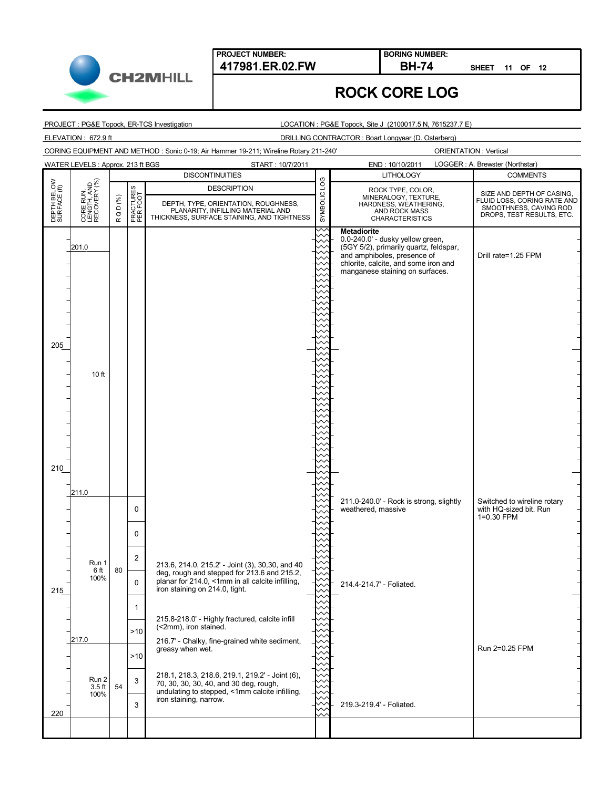**CH2MHILL** 

#### **ROCK CORE LOG**

**BORING NUMBER:**

PROJECT : PG&E Topock, ER-TCS Investigation

LOCATION : PG&E Topock, Site J (2100017.5 N, 7615237.7 E)

ELEVATION : 672.9 ft DRILLING CONTRACTOR : Boart Longyear (D. Osterberg)

CORING EQUIPMENT AND METHOD : Sonic 0-19; Air Hammer 19-211; Wireline Rotary 211-240'

ORIENTATION : Vertical

**SHEET 11 OF 12**

|                             | WATER LEVELS: Approx. 213 ft BGS         |           |                       | START: 10/7/2011                                                                   | LOGGER : A. Brewster (Northstar)<br>END: 10/10/2011 |                                                                     |                                                     |  |
|-----------------------------|------------------------------------------|-----------|-----------------------|------------------------------------------------------------------------------------|-----------------------------------------------------|---------------------------------------------------------------------|-----------------------------------------------------|--|
|                             |                                          |           |                       | <b>DISCONTINUITIES</b>                                                             |                                                     | <b>LITHOLOGY</b>                                                    | <b>COMMENTS</b>                                     |  |
| DEPTH BELOW<br>SURFACE (ft) | CORE RUN,<br>LENGTH, AND<br>RECOVERY (%) |           | FRACTURES<br>PER FOOT | <b>DESCRIPTION</b>                                                                 | SYMBOLIC LOG                                        | ROCK TYPE, COLOR,                                                   | SIZE AND DEPTH OF CASING,                           |  |
|                             |                                          | $Q D$ (%) |                       | DEPTH, TYPE, ORIENTATION, ROUGHNESS,                                               |                                                     | MINERALOGY, TEXTURE,<br>HARDNESS, WEATHERING,                       | FLUID LOSS, CORING RATE AND                         |  |
|                             |                                          |           |                       | PLANARITY, INFILLING MATERIAL AND<br>THICKNESS, SURFACE STAINING, AND TIGHTNESS    |                                                     | AND ROCK MASS<br><b>CHARACTERISTICS</b>                             | SMOOTHNESS, CAVING ROD<br>DROPS, TEST RESULTS, ETC. |  |
|                             |                                          | $\propto$ |                       |                                                                                    |                                                     |                                                                     |                                                     |  |
|                             |                                          |           |                       |                                                                                    |                                                     | <b>Metadiorite</b><br>0.0-240.0' - dusky yellow green,              |                                                     |  |
|                             | 201.0                                    |           |                       |                                                                                    |                                                     | (5GY 5/2), primarily quartz, feldspar,                              |                                                     |  |
|                             |                                          |           |                       |                                                                                    |                                                     | and amphiboles, presence of<br>chlorite, calcite, and some iron and | Drill rate=1.25 FPM                                 |  |
|                             |                                          |           |                       |                                                                                    |                                                     | manganese staining on surfaces.                                     |                                                     |  |
|                             |                                          |           |                       |                                                                                    |                                                     |                                                                     |                                                     |  |
|                             |                                          |           |                       |                                                                                    |                                                     |                                                                     |                                                     |  |
|                             |                                          |           |                       |                                                                                    |                                                     |                                                                     |                                                     |  |
|                             |                                          |           |                       |                                                                                    |                                                     |                                                                     |                                                     |  |
|                             |                                          |           |                       |                                                                                    |                                                     |                                                                     |                                                     |  |
| 205                         |                                          |           |                       |                                                                                    |                                                     |                                                                     |                                                     |  |
|                             |                                          |           |                       |                                                                                    |                                                     |                                                                     |                                                     |  |
|                             |                                          |           |                       |                                                                                    |                                                     |                                                                     |                                                     |  |
|                             | 10 <sub>ft</sub>                         |           |                       |                                                                                    |                                                     |                                                                     |                                                     |  |
|                             |                                          |           |                       |                                                                                    |                                                     |                                                                     |                                                     |  |
|                             |                                          |           |                       |                                                                                    |                                                     |                                                                     |                                                     |  |
|                             |                                          |           |                       |                                                                                    |                                                     |                                                                     |                                                     |  |
|                             |                                          |           |                       |                                                                                    |                                                     |                                                                     |                                                     |  |
|                             |                                          |           |                       |                                                                                    |                                                     |                                                                     |                                                     |  |
|                             |                                          |           |                       |                                                                                    |                                                     |                                                                     |                                                     |  |
| 210                         |                                          |           |                       |                                                                                    |                                                     |                                                                     |                                                     |  |
|                             |                                          |           |                       |                                                                                    |                                                     |                                                                     |                                                     |  |
|                             | 211.0                                    |           |                       |                                                                                    |                                                     |                                                                     |                                                     |  |
|                             |                                          |           |                       |                                                                                    |                                                     | 211.0-240.0' - Rock is strong, slightly                             | Switched to wireline rotary                         |  |
|                             |                                          |           | $\mathbf 0$           |                                                                                    |                                                     | weathered, massive                                                  | with HQ-sized bit. Run<br>1=0.30 FPM                |  |
|                             |                                          |           |                       |                                                                                    |                                                     |                                                                     |                                                     |  |
|                             |                                          |           | $\mathbf 0$           |                                                                                    |                                                     |                                                                     |                                                     |  |
|                             |                                          |           |                       |                                                                                    |                                                     |                                                                     |                                                     |  |
|                             | Run 1                                    |           | $\overline{2}$        | 213.6, 214.0, 215.2' - Joint (3), 30,30, and 40                                    |                                                     |                                                                     |                                                     |  |
|                             | 6 ft<br>100%                             | 80        |                       | deg, rough and stepped for 213.6 and 215.2,                                        |                                                     |                                                                     |                                                     |  |
|                             |                                          |           | $\Omega$              | planar for 214.0, <1mm in all calcite infilling,<br>iron staining on 214.0, tight. |                                                     | 214.4-214.7' - Foliated.                                            |                                                     |  |
| 215                         |                                          |           |                       |                                                                                    |                                                     |                                                                     |                                                     |  |
|                             |                                          |           | 1                     |                                                                                    |                                                     |                                                                     |                                                     |  |
|                             |                                          |           |                       | 215.8-218.0' - Highly fractured, calcite infill<br>(<2mm), iron stained.           |                                                     |                                                                     |                                                     |  |
|                             |                                          |           | >10                   |                                                                                    |                                                     |                                                                     |                                                     |  |
|                             | 217.0                                    |           |                       | 216.7' - Chalky, fine-grained white sediment,<br>greasy when wet.                  |                                                     |                                                                     | Run 2=0.25 FPM                                      |  |
|                             |                                          |           | >10                   |                                                                                    |                                                     |                                                                     |                                                     |  |
|                             |                                          |           |                       | 218.1, 218.3, 218.6, 219.1, 219.2' - Joint (6),                                    |                                                     |                                                                     |                                                     |  |
|                             | Run 2<br>$3.5$ ft                        | 54        | 3                     | 70, 30, 30, 30, 40, and 30 deg, rough,                                             |                                                     |                                                                     |                                                     |  |
|                             | 100%                                     |           |                       | undulating to stepped, <1mm calcite infilling,<br>iron staining, narrow.           |                                                     |                                                                     |                                                     |  |
|                             |                                          |           | 3                     |                                                                                    |                                                     | 219.3-219.4' - Foliated.                                            |                                                     |  |
| 220                         |                                          |           |                       |                                                                                    | へ                                                   |                                                                     |                                                     |  |
|                             |                                          |           |                       |                                                                                    |                                                     |                                                                     |                                                     |  |
|                             |                                          |           |                       |                                                                                    |                                                     |                                                                     |                                                     |  |